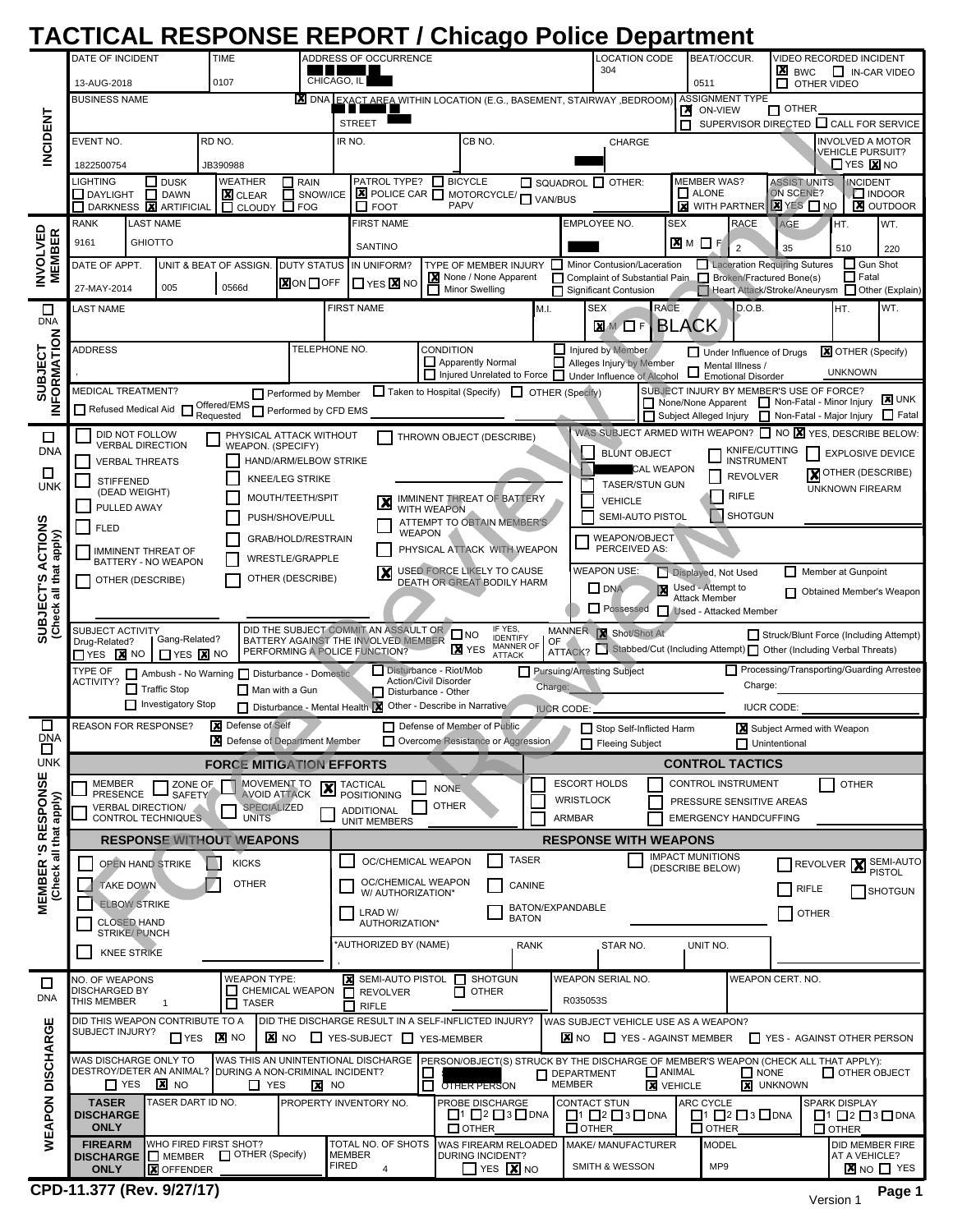|                                                                                                                                                                                                          | <b>TACTICAL RESPONSE REPORT / Chicago Police Department</b>                                                                                                                                                                                                                                                                                                                                   |                                           |                                                                                    |                                           |                         |                                                                                                  |                                                                                                                                                           |                                                                                                                                                                                     |                                                                                                     |                                                                                   |                                                                                             |                                                                                                       |                                                                                                       |                                                                  |                                                                                                         |                                                                                                             |                |                                                 |                         |        |
|----------------------------------------------------------------------------------------------------------------------------------------------------------------------------------------------------------|-----------------------------------------------------------------------------------------------------------------------------------------------------------------------------------------------------------------------------------------------------------------------------------------------------------------------------------------------------------------------------------------------|-------------------------------------------|------------------------------------------------------------------------------------|-------------------------------------------|-------------------------|--------------------------------------------------------------------------------------------------|-----------------------------------------------------------------------------------------------------------------------------------------------------------|-------------------------------------------------------------------------------------------------------------------------------------------------------------------------------------|-----------------------------------------------------------------------------------------------------|-----------------------------------------------------------------------------------|---------------------------------------------------------------------------------------------|-------------------------------------------------------------------------------------------------------|-------------------------------------------------------------------------------------------------------|------------------------------------------------------------------|---------------------------------------------------------------------------------------------------------|-------------------------------------------------------------------------------------------------------------|----------------|-------------------------------------------------|-------------------------|--------|
|                                                                                                                                                                                                          | DATE OF INCIDENT<br><b>TIME</b>                                                                                                                                                                                                                                                                                                                                                               |                                           |                                                                                    |                                           |                         |                                                                                                  | ADDRESS OF OCCURRENCE                                                                                                                                     |                                                                                                                                                                                     |                                                                                                     |                                                                                   |                                                                                             |                                                                                                       | LOCATION CODE<br>304                                                                                  |                                                                  |                                                                                                         | VIDEO RECORDED INCIDENT<br>BEAT/OCCUR.<br>×<br>IN-CAR VIDEO<br><b>BWC</b>                                   |                |                                                 |                         |        |
| <b>INCIDENT</b>                                                                                                                                                                                          | 13-AUG-2018<br>0107                                                                                                                                                                                                                                                                                                                                                                           |                                           |                                                                                    |                                           |                         |                                                                                                  | CHICAGO, IL                                                                                                                                               |                                                                                                                                                                                     |                                                                                                     |                                                                                   |                                                                                             |                                                                                                       |                                                                                                       |                                                                  | П<br>0511<br>OTHER VIDEO                                                                                |                                                                                                             |                |                                                 |                         |        |
|                                                                                                                                                                                                          | <b>BUSINESS NAME</b>                                                                                                                                                                                                                                                                                                                                                                          |                                           |                                                                                    |                                           |                         |                                                                                                  | X DNA EXACT AREA WITHIN LOCATION (E.G., BASEMENT, STAIRWAY, BEDROOM)                                                                                      |                                                                                                                                                                                     |                                                                                                     |                                                                                   |                                                                                             |                                                                                                       |                                                                                                       |                                                                  | ASSIGNMENT TYPE<br>$\Box$ OTHER<br>×<br>ON-VIEW                                                         |                                                                                                             |                |                                                 |                         |        |
|                                                                                                                                                                                                          | EVENT NO.<br>RD NO.                                                                                                                                                                                                                                                                                                                                                                           |                                           |                                                                                    |                                           |                         |                                                                                                  | <b>STREET</b><br>CB NO.<br>IR NO.<br>CHARGE                                                                                                               |                                                                                                                                                                                     |                                                                                                     |                                                                                   |                                                                                             |                                                                                                       |                                                                                                       |                                                                  | SUPERVISOR DIRECTED CALL FOR SERVICE<br>п<br><b>INVOLVED A MOTOR</b>                                    |                                                                                                             |                |                                                 |                         |        |
|                                                                                                                                                                                                          | 1822500754<br>JB390988                                                                                                                                                                                                                                                                                                                                                                        |                                           |                                                                                    |                                           |                         |                                                                                                  |                                                                                                                                                           |                                                                                                                                                                                     |                                                                                                     |                                                                                   |                                                                                             |                                                                                                       |                                                                                                       | <b>VEHICLE PURSUIT?</b><br>$\Box$ Yes $\overline{\mathbf{X}}$ No |                                                                                                         |                                                                                                             |                |                                                 |                         |        |
|                                                                                                                                                                                                          | LIGHTING<br>$\Box$ DUSK<br><b>WEATHER</b><br>$\Box$ RAIN<br><b>X</b> CLEAR<br>П<br>SNOW/ICE<br><b>DAYLIGHT</b><br>П<br><b>DAWN</b>                                                                                                                                                                                                                                                            |                                           |                                                                                    |                                           |                         |                                                                                                  | PATROL TYPE?                                                                                                                                              |                                                                                                                                                                                     | <b>SICYCLE</b>                                                                                      |                                                                                   |                                                                                             |                                                                                                       | $\Box$ SQUADROL $\Box$ OTHER:                                                                         |                                                                  |                                                                                                         | <b>MEMBER WAS?</b><br><b>ASSIST UNITS</b><br><b>INCIDENT</b><br>$\Box$ ALONE<br>ON SCENE?<br><b>LINDOOR</b> |                |                                                 |                         |        |
|                                                                                                                                                                                                          | DARKNESS <b>X</b> ARTIFICIAL<br>$\Box$ FOG<br>$\Box$ CLOUDY<br><b>LAST NAME</b><br><b>RANK</b>                                                                                                                                                                                                                                                                                                |                                           |                                                                                    |                                           |                         |                                                                                                  | $\overline{\mathbf{Z}}$ POLICE CAR $\overline{\mathbf{Z}}$ MOTORCYCLE/ $\overline{\mathbf{Z}}$ VAN/BUS<br><b>PAPV</b><br>$\Box$ FOOT<br><b>FIRST NAME</b> |                                                                                                                                                                                     |                                                                                                     |                                                                                   |                                                                                             |                                                                                                       | $X$ yes $\Box$ no<br><b>X</b> WITH PARTNER<br><b>AGE</b><br>EMPLOYEE NO.<br><b>SEX</b><br><b>RACE</b> |                                                                  |                                                                                                         |                                                                                                             | HT.            | <b>X</b> OUTDOOR<br>WT.                         |                         |        |
|                                                                                                                                                                                                          | 9161<br><b>GHIOTTO</b>                                                                                                                                                                                                                                                                                                                                                                        |                                           |                                                                                    |                                           |                         |                                                                                                  | SANTINO                                                                                                                                                   |                                                                                                                                                                                     |                                                                                                     |                                                                                   |                                                                                             |                                                                                                       |                                                                                                       |                                                                  | X M □                                                                                                   |                                                                                                             | $\overline{2}$ | 35                                              | 510                     | 220    |
| <b>INVOLVED</b><br><b>MEMBER</b>                                                                                                                                                                         | DATE OF APPT.<br><b>DUTY STATUS</b><br>UNIT & BEAT OF ASSIGN.                                                                                                                                                                                                                                                                                                                                 |                                           |                                                                                    |                                           |                         | TYPE OF MEMBER INJURY I Minor Contusion/Laceration<br>IN UNIFORM?<br>None / None Apparent        |                                                                                                                                                           |                                                                                                                                                                                     |                                                                                                     |                                                                                   | Laceration Requiring Sutures<br>Complaint of Substantial Pain Broken/Fractured Bone(s)<br>П |                                                                                                       |                                                                                                       |                                                                  | $\Box$ Gun Shot<br>$\Box$ Fatal                                                                         |                                                                                                             |                |                                                 |                         |        |
|                                                                                                                                                                                                          | 27-MAY-2014                                                                                                                                                                                                                                                                                                                                                                                   | 005                                       | 0566d                                                                              |                                           | <b>X</b> ON □ OFF       |                                                                                                  | $\square$ yes $\times$ no                                                                                                                                 | Minor Swelling                                                                                                                                                                      |                                                                                                     |                                                                                   |                                                                                             | П                                                                                                     | <b>Significant Contusion</b>                                                                          |                                                                  |                                                                                                         |                                                                                                             |                | Heart Attack/Stroke/Aneurysm ID Other (Explain) |                         |        |
| □<br><b>DNA</b><br><b>SUBJECT</b><br><b>IFORMATION</b>                                                                                                                                                   | LAST NAME                                                                                                                                                                                                                                                                                                                                                                                     |                                           |                                                                                    |                                           |                         | <b>FIRST NAME</b><br>M.I.                                                                        |                                                                                                                                                           |                                                                                                                                                                                     |                                                                                                     |                                                                                   |                                                                                             |                                                                                                       | <b>RACE</b><br>D.O.B.<br><b>SEX</b><br>WT.<br>IHT.<br><b>BLACK</b><br><b>X</b> M <b>D</b> F           |                                                                  |                                                                                                         |                                                                                                             |                |                                                 |                         |        |
|                                                                                                                                                                                                          | TELEPHONE NO.<br><b>ADDRESS</b>                                                                                                                                                                                                                                                                                                                                                               |                                           |                                                                                    |                                           |                         | <b>CONDITION</b>                                                                                 |                                                                                                                                                           |                                                                                                                                                                                     |                                                                                                     |                                                                                   | Injured by Member<br><b>X</b> OTHER (Specify)<br>Under Influence of Drugs                   |                                                                                                       |                                                                                                       |                                                                  |                                                                                                         |                                                                                                             |                |                                                 |                         |        |
|                                                                                                                                                                                                          |                                                                                                                                                                                                                                                                                                                                                                                               |                                           |                                                                                    |                                           |                         | Apparently Normal<br>□ Injured Unrelated to Force □ Under Influence of Alcohol                   |                                                                                                                                                           |                                                                                                                                                                                     |                                                                                                     |                                                                                   |                                                                                             | Alleges Injury by Member<br>Mental Illness /<br><b>UNKNOWN</b><br><b>Emotional Disorder</b>           |                                                                                                       |                                                                  |                                                                                                         |                                                                                                             |                |                                                 |                         |        |
|                                                                                                                                                                                                          | <b>MEDICAL TREATMENT?</b>                                                                                                                                                                                                                                                                                                                                                                     |                                           |                                                                                    |                                           | Performed by Member     |                                                                                                  | $\Box$ OTHER (Specify)<br>Taken to Hospital (Specify)                                                                                                     |                                                                                                                                                                                     |                                                                                                     |                                                                                   |                                                                                             |                                                                                                       |                                                                                                       |                                                                  | SUBJECT INJURY BY MEMBER'S USE OF FORCE?<br><b>X</b> UNK<br>None/None Apparent Non-Fatal - Minor Injury |                                                                                                             |                |                                                 |                         |        |
| Refused Medical Aid <b>D</b> Offered/EMS <b>D</b> Performed by CFD EMS<br>Z<br>Subject Alleged Injury   Non-Fatal - Major Injury<br>WAS SUBJECT ARMED WITH WEAPON? $\Box$ NO $\chi$ YES, DESCRIBE BELOW: |                                                                                                                                                                                                                                                                                                                                                                                               |                                           |                                                                                    |                                           |                         |                                                                                                  |                                                                                                                                                           |                                                                                                                                                                                     |                                                                                                     |                                                                                   |                                                                                             |                                                                                                       | Fatal                                                                                                 |                                                                  |                                                                                                         |                                                                                                             |                |                                                 |                         |        |
| □<br><b>DNA</b>                                                                                                                                                                                          | DID NOT FOLLOW                                                                                                                                                                                                                                                                                                                                                                                | <b>VERBAL DIRECTION</b>                   |                                                                                    | WEAPON. (SPECIFY)                         | PHYSICAL ATTACK WITHOUT |                                                                                                  |                                                                                                                                                           |                                                                                                                                                                                     |                                                                                                     | THROWN OBJECT (DESCRIBE)                                                          |                                                                                             |                                                                                                       |                                                                                                       | <b>BLUNT OBJECT</b>                                              |                                                                                                         |                                                                                                             | KNIFE/CUTTING  |                                                 | <b>EXPLOSIVE DEVICE</b> |        |
| □                                                                                                                                                                                                        | HAND/ARM/ELBOW STRIKE<br><b>VERBAL THREATS</b><br>KNEE/LEG STRIKE<br><b>STIFFENED</b>                                                                                                                                                                                                                                                                                                         |                                           |                                                                                    |                                           |                         |                                                                                                  |                                                                                                                                                           |                                                                                                                                                                                     |                                                                                                     |                                                                                   |                                                                                             |                                                                                                       |                                                                                                       |                                                                  | <b>INSTRUMENT</b><br><b>CAL WEAPON</b><br><b>X</b> OTHER (DESCRIBE)<br><b>REVOLVER</b>                  |                                                                                                             |                |                                                 |                         |        |
| <b>UNK</b>                                                                                                                                                                                               | (DEAD WEIGHT)                                                                                                                                                                                                                                                                                                                                                                                 |                                           | MOUTH/TEETH/SPIT                                                                   | IMMINENT THREAT OF BATTERY                |                         |                                                                                                  |                                                                                                                                                           |                                                                                                                                                                                     |                                                                                                     | <b>TASER/STUN GUN</b><br><b>UNKNOWN FIREARM</b><br><b>RIFLE</b><br><b>VEHICLE</b> |                                                                                             |                                                                                                       |                                                                                                       |                                                                  |                                                                                                         |                                                                                                             |                |                                                 |                         |        |
|                                                                                                                                                                                                          | PULLED AWAY<br><b>FLED</b>                                                                                                                                                                                                                                                                                                                                                                    |                                           | PUSH/SHOVE/PULL                                                                    | WITH WEAPON<br>ATTEMPT TO OBTAIN MEMBER'S |                         |                                                                                                  |                                                                                                                                                           |                                                                                                                                                                                     |                                                                                                     |                                                                                   | SEMI-AUTO PISTOL                                                                            |                                                                                                       |                                                                                                       | SHOTGUN                                                          |                                                                                                         |                                                                                                             |                |                                                 |                         |        |
| ACTIONS                                                                                                                                                                                                  | <b>WEAPON</b><br>WEAPON/OBJECT<br>GRAB/HOLD/RESTRAIN<br>PERCEIVED AS:<br>PHYSICAL ATTACK WITH WEAPON<br><b>IMMINENT THREAT OF</b>                                                                                                                                                                                                                                                             |                                           |                                                                                    |                                           |                         |                                                                                                  |                                                                                                                                                           |                                                                                                                                                                                     |                                                                                                     |                                                                                   |                                                                                             |                                                                                                       |                                                                                                       |                                                                  |                                                                                                         |                                                                                                             |                |                                                 |                         |        |
|                                                                                                                                                                                                          | <b>WRESTLE/GRAPPLE</b><br>BATTERY - NO WEAPON<br><b>WEAPON USE:</b><br>$\overline{\mathbf{x}}$<br>USED FORCE LIKELY TO CAUSE<br>Member at Gunpoint<br>Displayed, Not Used                                                                                                                                                                                                                     |                                           |                                                                                    |                                           |                         |                                                                                                  |                                                                                                                                                           |                                                                                                                                                                                     |                                                                                                     |                                                                                   |                                                                                             |                                                                                                       |                                                                                                       |                                                                  |                                                                                                         |                                                                                                             |                |                                                 |                         |        |
|                                                                                                                                                                                                          | OTHER (DESCRIBE)<br>OTHER (DESCRIBE)<br><b>DEATH OR GREAT BODILY HARM</b><br>Used - Attempt to<br>$\Box$ DNA<br>Obtained Member's Weapon<br><b>Attack Member</b>                                                                                                                                                                                                                              |                                           |                                                                                    |                                           |                         |                                                                                                  |                                                                                                                                                           |                                                                                                                                                                                     |                                                                                                     |                                                                                   |                                                                                             |                                                                                                       |                                                                                                       |                                                                  |                                                                                                         |                                                                                                             |                |                                                 |                         |        |
| <b>SUBJECT'S ACTION</b><br>(Check all that apply)                                                                                                                                                        | <b>D</b> Possessed<br>Used - Attacked Member<br>IF YES,<br>DID THE SUBJECT COMMIT AN ASSAULT OR<br>SUBJECT ACTIVITY<br>MANNER X Shot/Shot At                                                                                                                                                                                                                                                  |                                           |                                                                                    |                                           |                         |                                                                                                  |                                                                                                                                                           |                                                                                                                                                                                     |                                                                                                     |                                                                                   |                                                                                             |                                                                                                       |                                                                                                       |                                                                  |                                                                                                         |                                                                                                             |                |                                                 |                         |        |
|                                                                                                                                                                                                          | $\Box$ NO<br>Struck/Blunt Force (Including Attempt)<br><b>IDENTIFY</b><br>Gang-Related?<br>BATTERY AGAINST THE INVOLVED MEMBER<br>Drug-Related?<br>OF<br><b>MANNER OF</b><br><b>X</b> YES<br>ATTACK? Stabbed/Cut (Including Attempt) Other (Including Verbal Threats)<br>PERFORMING A POLICE FUNCTION?<br>$\Box$ Yes $\bm{\mathsf{x}}$ No<br>$\Box$ YES $\bm{\mathsf{X}}$ NO<br><b>ATTACK</b> |                                           |                                                                                    |                                           |                         |                                                                                                  |                                                                                                                                                           |                                                                                                                                                                                     |                                                                                                     |                                                                                   |                                                                                             |                                                                                                       |                                                                                                       |                                                                  |                                                                                                         |                                                                                                             |                |                                                 |                         |        |
|                                                                                                                                                                                                          | Processing/Transporting/Guarding Arrestee<br>Disturbance - Riot/Mob<br>TYPE OF<br>Pursuing/Arresting Subject<br>Ambush - No Warning Disturbance - Domestic<br><b>ACTIVITY?</b><br><b>Action/Civil Disorder</b>                                                                                                                                                                                |                                           |                                                                                    |                                           |                         |                                                                                                  |                                                                                                                                                           |                                                                                                                                                                                     |                                                                                                     |                                                                                   |                                                                                             |                                                                                                       |                                                                                                       |                                                                  |                                                                                                         |                                                                                                             |                |                                                 |                         |        |
|                                                                                                                                                                                                          | Charge:<br>Charge:<br>$\Box$ Traffic Stop<br>Man with a Gun<br>□ Disturbance - Other<br>Investigatory Stop<br>Disturbance - Mental Health X Other - Describe in Narrative<br><b>IUCR CODE:</b><br><b>IUCR CODE:</b>                                                                                                                                                                           |                                           |                                                                                    |                                           |                         |                                                                                                  |                                                                                                                                                           |                                                                                                                                                                                     |                                                                                                     |                                                                                   |                                                                                             |                                                                                                       |                                                                                                       |                                                                  |                                                                                                         |                                                                                                             |                |                                                 |                         |        |
| □<br><b>DNA</b>                                                                                                                                                                                          | REASON FOR RESPONSE?                                                                                                                                                                                                                                                                                                                                                                          |                                           | X Defense of Self                                                                  |                                           |                         |                                                                                                  | Defense of Member of Public<br>□                                                                                                                          |                                                                                                                                                                                     |                                                                                                     |                                                                                   |                                                                                             |                                                                                                       | Stop Self-Inflicted Harm<br>Subject Armed with Weapon                                                 |                                                                  |                                                                                                         |                                                                                                             |                |                                                 |                         |        |
| $\Box$<br><b>UNK</b>                                                                                                                                                                                     | Defense of Department Member<br>Overcome Resistance or Aggression<br>П<br>Fleeing Subject<br>$\Box$ Unintentional<br><b>CONTROL TACTICS</b><br><b>FORCE MITIGATION EFFORTS</b>                                                                                                                                                                                                                |                                           |                                                                                    |                                           |                         |                                                                                                  |                                                                                                                                                           |                                                                                                                                                                                     |                                                                                                     |                                                                                   |                                                                                             |                                                                                                       |                                                                                                       |                                                                  |                                                                                                         |                                                                                                             |                |                                                 |                         |        |
|                                                                                                                                                                                                          | <b>ESCORT HOLDS</b><br><b>MEMBER</b><br>ZONE OF<br>MOVEMENT TO<br>CONTROL INSTRUMENT<br>OTHER<br><b>X</b> TACTICAL<br><b>NONE</b>                                                                                                                                                                                                                                                             |                                           |                                                                                    |                                           |                         |                                                                                                  |                                                                                                                                                           |                                                                                                                                                                                     |                                                                                                     |                                                                                   |                                                                                             |                                                                                                       |                                                                                                       |                                                                  |                                                                                                         |                                                                                                             |                |                                                 |                         |        |
| MEMBER 'S RESPONSE<br>(Check all that apply)                                                                                                                                                             | <b>PRESENCE</b>                                                                                                                                                                                                                                                                                                                                                                               | <b>SAFETY</b><br><b>VERBAL DIRECTION/</b> |                                                                                    | <b>AVOID ATTACK</b><br><b>SPECIALIZED</b> |                         |                                                                                                  | <b>POSITIONING</b><br><b>ADDITIONAL</b>                                                                                                                   | <b>OTHER</b>                                                                                                                                                                        |                                                                                                     |                                                                                   |                                                                                             |                                                                                                       | <b>WRISTLOCK</b>                                                                                      |                                                                  |                                                                                                         |                                                                                                             |                | PRESSURE SENSITIVE AREAS                        |                         |        |
|                                                                                                                                                                                                          | <b>UNITS</b><br>CONTROL TECHNIQUES<br><b>RESPONSE WITHOUT WEAPONS</b>                                                                                                                                                                                                                                                                                                                         |                                           |                                                                                    |                                           |                         |                                                                                                  | <b>UNIT MEMBERS</b>                                                                                                                                       |                                                                                                                                                                                     |                                                                                                     |                                                                                   |                                                                                             |                                                                                                       | <b>EMERGENCY HANDCUFFING</b><br>ARMBAR<br><b>RESPONSE WITH WEAPONS</b>                                |                                                                  |                                                                                                         |                                                                                                             |                |                                                 |                         |        |
|                                                                                                                                                                                                          |                                                                                                                                                                                                                                                                                                                                                                                               | OPEN HAND STRIKE                          | <b>TASER</b><br>OC/CHEMICAL WEAPON                                                 |                                           |                         |                                                                                                  |                                                                                                                                                           |                                                                                                                                                                                     | <b>IMPACT MUNITIONS</b><br>SEMI-AUTO<br><b>REVOLVER</b><br>(DESCRIBE BELOW)                         |                                                                                   |                                                                                             |                                                                                                       |                                                                                                       |                                                                  |                                                                                                         |                                                                                                             |                |                                                 |                         |        |
|                                                                                                                                                                                                          | <b>OTHER</b><br><b>TAKE DOWN</b>                                                                                                                                                                                                                                                                                                                                                              |                                           |                                                                                    |                                           |                         |                                                                                                  | OC/CHEMICAL WEAPON<br>CANINE<br>W/ AUTHORIZATION*                                                                                                         |                                                                                                                                                                                     |                                                                                                     |                                                                                   |                                                                                             |                                                                                                       | RIFLE                                                                                                 |                                                                  |                                                                                                         |                                                                                                             |                | SHOTGUN                                         |                         |        |
|                                                                                                                                                                                                          | <b>ELBOW STRIKE</b>                                                                                                                                                                                                                                                                                                                                                                           |                                           | BATON/EXPANDABLE<br>LRAD W/<br><b>BATON</b>                                        |                                           |                         |                                                                                                  |                                                                                                                                                           |                                                                                                                                                                                     | <b>OTHER</b>                                                                                        |                                                                                   |                                                                                             |                                                                                                       |                                                                                                       |                                                                  |                                                                                                         |                                                                                                             |                |                                                 |                         |        |
|                                                                                                                                                                                                          | <b>CLOSED HAND</b><br><b>STRIKE/ PUNCH</b>                                                                                                                                                                                                                                                                                                                                                    |                                           |                                                                                    |                                           |                         |                                                                                                  | AUTHORIZATION*                                                                                                                                            |                                                                                                                                                                                     |                                                                                                     |                                                                                   |                                                                                             |                                                                                                       | STAR NO.<br>UNIT NO.                                                                                  |                                                                  |                                                                                                         |                                                                                                             |                |                                                 |                         |        |
|                                                                                                                                                                                                          | <b>KNEE STRIKE</b>                                                                                                                                                                                                                                                                                                                                                                            |                                           | 'AUTHORIZED BY (NAME)<br><b>RANK</b>                                               |                                           |                         |                                                                                                  |                                                                                                                                                           |                                                                                                                                                                                     |                                                                                                     |                                                                                   |                                                                                             |                                                                                                       |                                                                                                       |                                                                  |                                                                                                         |                                                                                                             |                |                                                 |                         |        |
| □                                                                                                                                                                                                        | <b>WEAPON TYPE:</b><br><b>X</b> SEMI-AUTO PISTOL<br>$\Box$ SHOTGUN<br><b>WEAPON SERIAL NO.</b><br>WEAPON CERT. NO.<br>NO. OF WEAPONS<br>DISCHARGED BY<br>CHEMICAL WEAPON<br>$\Box$ OTHER<br>$\Pi$ REVOLVER                                                                                                                                                                                    |                                           |                                                                                    |                                           |                         |                                                                                                  |                                                                                                                                                           |                                                                                                                                                                                     |                                                                                                     |                                                                                   |                                                                                             |                                                                                                       |                                                                                                       |                                                                  |                                                                                                         |                                                                                                             |                |                                                 |                         |        |
| <b>DNA</b>                                                                                                                                                                                               | THIS MEMBER<br>R035053S<br>п<br>1<br><b>TASER</b><br>$\Box$ RIFLE                                                                                                                                                                                                                                                                                                                             |                                           |                                                                                    |                                           |                         |                                                                                                  |                                                                                                                                                           |                                                                                                                                                                                     |                                                                                                     |                                                                                   |                                                                                             |                                                                                                       |                                                                                                       |                                                                  |                                                                                                         |                                                                                                             |                |                                                 |                         |        |
|                                                                                                                                                                                                          | DID THE DISCHARGE RESULT IN A SELF-INFLICTED INJURY?<br>DID THIS WEAPON CONTRIBUTE TO A<br>WAS SUBJECT VEHICLE USE AS A WEAPON?<br>SUBJECT INJURY?<br><b>X</b> NO<br>X NO<br>$\Box$ YES-SUBJECT $\Box$ YES-MEMBER<br>T YES - AGAINST OTHER PERSON<br>$\Box$ YES<br><b>X</b> NO<br>YES - AGAINST MEMBER                                                                                        |                                           |                                                                                    |                                           |                         |                                                                                                  |                                                                                                                                                           |                                                                                                                                                                                     |                                                                                                     |                                                                                   |                                                                                             |                                                                                                       |                                                                                                       |                                                                  |                                                                                                         |                                                                                                             |                |                                                 |                         |        |
| <b>DISCHARGE</b>                                                                                                                                                                                         | WAS DISCHARGE ONLY TO<br>WAS THIS AN UNINTENTIONAL DISCHARGE<br>PERSON/OBJECT(S) STRUCK BY THE DISCHARGE OF MEMBER'S WEAPON (CHECK ALL THAT APPLY):<br>DESTROY/DETER AN ANIMAL? DURING A NON-CRIMINAL INCIDENT?<br>$\Box$ ANIMAL<br>$\Box$ NONE                                                                                                                                               |                                           |                                                                                    |                                           |                         |                                                                                                  |                                                                                                                                                           |                                                                                                                                                                                     |                                                                                                     |                                                                                   |                                                                                             |                                                                                                       |                                                                                                       |                                                                  |                                                                                                         |                                                                                                             |                |                                                 |                         |        |
|                                                                                                                                                                                                          | $\Box$ YES                                                                                                                                                                                                                                                                                                                                                                                    | <b>X</b> NO                               | $\Box$ YES                                                                         | ō<br><b>X</b> NO<br><b>OTHER PERSON</b>   |                         |                                                                                                  |                                                                                                                                                           |                                                                                                                                                                                     | <b>N</b> DEPARTMENT<br>$\Box$ OTHER OBJECT<br><b>MEMBER</b><br><b>X</b> VEHICLE<br><b>X</b> UNKNOWN |                                                                                   |                                                                                             |                                                                                                       |                                                                                                       |                                                                  |                                                                                                         |                                                                                                             |                |                                                 |                         |        |
|                                                                                                                                                                                                          | <b>TASER</b><br><b>DISCHARGE</b>                                                                                                                                                                                                                                                                                                                                                              | TASER DART ID NO.                         | PROPERTY INVENTORY NO.<br>PROBE DISCHARGE<br>$\Box$ 1 $\Box$ 2 $\Box$ 3 $\Box$ DNA |                                           |                         |                                                                                                  |                                                                                                                                                           | <b>CONTACT STUN</b><br>ARC CYCLE<br><b>SPARK DISPLAY</b><br>$\Box$ 1 $\Box$ 2 $\Box$ 3 $\Box$ DNA<br>$\Box$ 1 $\Box$ 2 $\Box$ 3 $\Box$ DNA<br>$\Box$ 1 $\Box$ 2 $\Box$ 3 $\Box$ DNA |                                                                                                     |                                                                                   |                                                                                             |                                                                                                       |                                                                                                       |                                                                  |                                                                                                         |                                                                                                             |                |                                                 |                         |        |
| WEAPON                                                                                                                                                                                                   | <b>ONLY</b><br><b>FIREARM</b><br>WHO FIRED FIRST SHOT?                                                                                                                                                                                                                                                                                                                                        |                                           |                                                                                    |                                           |                         |                                                                                                  | $\Box$ OTHER<br>TOTAL NO. OF SHOTS<br>WAS FIREARM RELOADED                                                                                                |                                                                                                                                                                                     |                                                                                                     |                                                                                   |                                                                                             | $\Box$ OTHER<br>$\Box$ OTHER<br>$\Box$ OTHER<br>MAKE/ MANUFACTURER<br><b>MODEL</b><br>DID MEMBER FIRE |                                                                                                       |                                                                  |                                                                                                         |                                                                                                             |                |                                                 |                         |        |
|                                                                                                                                                                                                          | OTHER (Specify)<br>DISCHARGE <b>ID</b> MEMBER<br><b>ONLY</b><br><b>X</b> OFFENDER                                                                                                                                                                                                                                                                                                             |                                           |                                                                                    |                                           |                         | <b>DURING INCIDENT?</b><br>MEMBER<br><b>FIRED</b><br>$\sqrt{1 + 2S}$ NO<br>$\boldsymbol{\Delta}$ |                                                                                                                                                           |                                                                                                                                                                                     |                                                                                                     |                                                                                   | SMITH & WESSON                                                                              |                                                                                                       |                                                                                                       | MP <sub>9</sub>                                                  |                                                                                                         |                                                                                                             | AT A VEHICLE?  | $\mathbf{X}$ NO $\Box$ Yes                      |                         |        |
|                                                                                                                                                                                                          | CPD-11.377 (Rev. 9/27/17)                                                                                                                                                                                                                                                                                                                                                                     |                                           |                                                                                    |                                           |                         |                                                                                                  |                                                                                                                                                           |                                                                                                                                                                                     |                                                                                                     |                                                                                   |                                                                                             |                                                                                                       |                                                                                                       |                                                                  |                                                                                                         |                                                                                                             |                |                                                 | U <sub>crain</sub>      | Page 1 |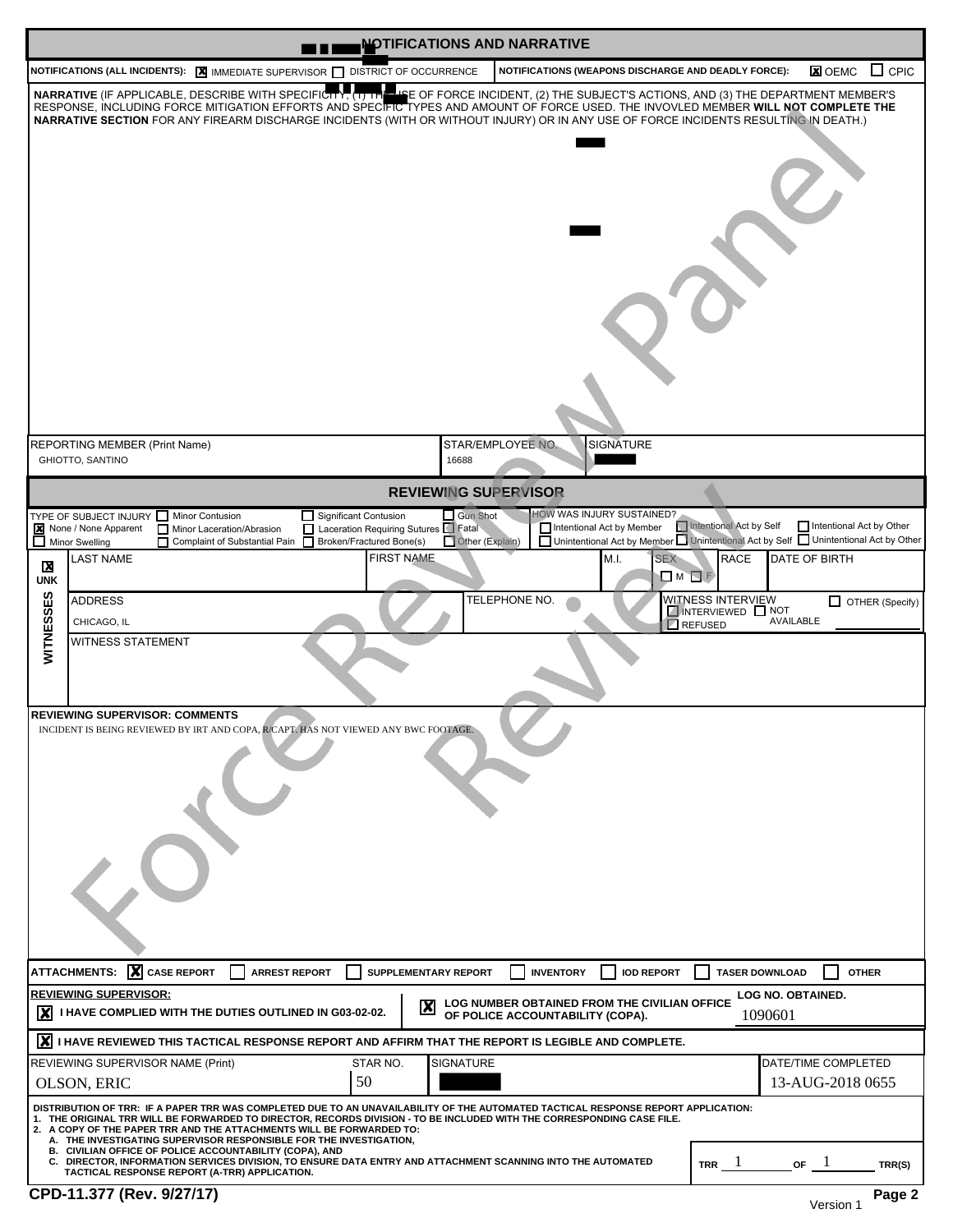| <b>NOTIFICATIONS AND NARRATIVE</b><br>u۵                                                                                                                                                                                                                                                                                                                                                                                                                                                                                                                                                                                                                                                                                                                                                                                                                                                                                                                                        |  |  |  |  |  |  |  |  |  |
|---------------------------------------------------------------------------------------------------------------------------------------------------------------------------------------------------------------------------------------------------------------------------------------------------------------------------------------------------------------------------------------------------------------------------------------------------------------------------------------------------------------------------------------------------------------------------------------------------------------------------------------------------------------------------------------------------------------------------------------------------------------------------------------------------------------------------------------------------------------------------------------------------------------------------------------------------------------------------------|--|--|--|--|--|--|--|--|--|
| $\Box$ CPIC<br><b>NOTIFICATIONS (ALL INCIDENTS): <math>\boxed{\mathbf{X}}</math></b> IMMEDIATE SUPERVISOR $\boxed{\phantom{a}}$ DISTRICT OF OCCURRENCE<br>NOTIFICATIONS (WEAPONS DISCHARGE AND DEADLY FORCE):<br><b>X</b> OEMC                                                                                                                                                                                                                                                                                                                                                                                                                                                                                                                                                                                                                                                                                                                                                  |  |  |  |  |  |  |  |  |  |
| NARRATIVE (IF APPLICABLE, DESCRIBE WITH SPECIFICITY, (1) THE<br>LIE OF FORCE INCIDENT, (2) THE SUBJECT'S ACTIONS, AND (3) THE DEPARTMENT MEMBER'S<br>RESPONSE, INCLUDING FORCE MITIGATION EFFORTS AND SPECIFIC TYPES AND AMOUNT OF FORCE USED. THE INVOVLED MEMBER WILL NOT COMPLETE THE<br>NARRATIVE SECTION FOR ANY FIREARM DISCHARGE INCIDENTS (WITH OR WITHOUT INJURY) OR IN ANY USE OF FORCE INCIDENTS RESULTING IN DEATH.)                                                                                                                                                                                                                                                                                                                                                                                                                                                                                                                                                |  |  |  |  |  |  |  |  |  |
| STAR/EMPLOYEE NO.<br><b>SIGNATURE</b><br><b>REPORTING MEMBER (Print Name)</b><br><b>GHIOTTO, SANTINO</b><br>16688                                                                                                                                                                                                                                                                                                                                                                                                                                                                                                                                                                                                                                                                                                                                                                                                                                                               |  |  |  |  |  |  |  |  |  |
| <b>REVIEWING SUPERVISOR</b>                                                                                                                                                                                                                                                                                                                                                                                                                                                                                                                                                                                                                                                                                                                                                                                                                                                                                                                                                     |  |  |  |  |  |  |  |  |  |
| HOW WAS INJURY SUSTAINED?<br>Significant Contusion<br>$\Box$ Gun Shot<br>TYPE OF SUBJECT INJURY In Minor Contusion<br>Intentional Act by Self<br>Intentional Act by Other<br>Intentional Act by Member<br>None / None Apparent<br>Laceration Requiring Sutures Fatal<br>Minor Laceration/Abrasion<br>Unintentional Act by Member Unintentional Act by Self Unintentional Act by Other<br>Other (Explain)<br>Broken/Fractured Bone(s)<br>$\Box$ Minor Swelling<br>Complaint of Substantial Pain<br><b>FIRST NAME</b><br><b>SEX</b><br>DATE OF BIRTH<br><b>LAST NAME</b><br>M.I.<br><b>RACE</b><br>X<br>$\Box$ M $\Box$ F<br><b>UNK</b><br>WITNESSES<br>TELEPHONE NO.<br>WITNESS INTERVIEW<br><b>ADDRESS</b><br>$\Box$ OTHER (Specify)<br><b>NOTERVIEWED NOT</b><br><b>AVAILABLE</b><br>CHICAGO, IL<br><b>REFUSED</b><br><b>WITNESS STATEMENT</b><br><b>REVIEWING SUPERVISOR: COMMENTS</b><br>INCIDENT IS BEING REVIEWED BY IRT AND COPA, R/CAPT. HAS NOT VIEWED ANY BWC FOOTAGE. |  |  |  |  |  |  |  |  |  |
| $\boldsymbol{X}$ CASE REPORT<br><b>ATTACHMENTS:</b><br>SUPPLEMENTARY REPORT<br><b>INVENTORY</b><br><b>IOD REPORT</b><br><b>ARREST REPORT</b><br><b>TASER DOWNLOAD</b><br><b>OTHER</b><br><b>REVIEWING SUPERVISOR:</b><br>LOG NO. OBTAINED.<br>LOG NUMBER OBTAINED FROM THE CIVILIAN OFFICE<br>$\boldsymbol{\mathsf{x}}$<br>I HAVE COMPLIED WITH THE DUTIES OUTLINED IN G03-02-02.<br>1090601                                                                                                                                                                                                                                                                                                                                                                                                                                                                                                                                                                                    |  |  |  |  |  |  |  |  |  |
| OF POLICE ACCOUNTABILITY (COPA).<br>$ \boldsymbol{X} $ i have reviewed this tactical response report and affirm that the report is legible and complete.                                                                                                                                                                                                                                                                                                                                                                                                                                                                                                                                                                                                                                                                                                                                                                                                                        |  |  |  |  |  |  |  |  |  |
| STAR NO.<br><b>SIGNATURE</b><br>DATE/TIME COMPLETED<br>REVIEWING SUPERVISOR NAME (Print)<br>50<br>13-AUG-2018 0655<br>OLSON, ERIC                                                                                                                                                                                                                                                                                                                                                                                                                                                                                                                                                                                                                                                                                                                                                                                                                                               |  |  |  |  |  |  |  |  |  |
| DISTRIBUTION OF TRR: IF A PAPER TRR WAS COMPLETED DUE TO AN UNAVAILABILITY OF THE AUTOMATED TACTICAL RESPONSE REPORT APPLICATION:<br>1. THE ORIGINAL TRR WILL BE FORWARDED TO DIRECTOR, RECORDS DIVISION - TO BE INCLUDED WITH THE CORRESPONDING CASE FILE.<br>2. A COPY OF THE PAPER TRR AND THE ATTACHMENTS WILL BE FORWARDED TO:<br>A. THE INVESTIGATING SUPERVISOR RESPONSIBLE FOR THE INVESTIGATION,<br>B. CIVILIAN OFFICE OF POLICE ACCOUNTABILITY (COPA), AND<br>C. DIRECTOR, INFORMATION SERVICES DIVISION, TO ENSURE DATA ENTRY AND ATTACHMENT SCANNING INTO THE AUTOMATED<br>$TRR$ $\perp$<br>OF<br>TRR(S)<br>TACTICAL RESPONSE REPORT (A-TRR) APPLICATION.<br>CPD-11.377 (Rev. 9/27/17)<br>Page 2                                                                                                                                                                                                                                                                    |  |  |  |  |  |  |  |  |  |
| Version 1                                                                                                                                                                                                                                                                                                                                                                                                                                                                                                                                                                                                                                                                                                                                                                                                                                                                                                                                                                       |  |  |  |  |  |  |  |  |  |